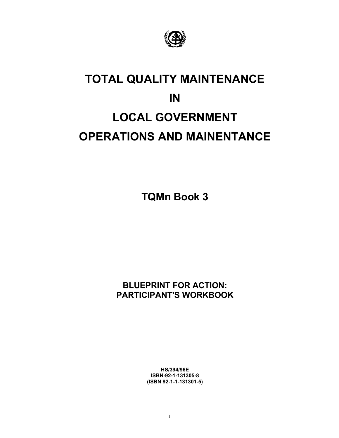

### **TOTAL QUALITY MAINTENANCE IN LOCAL GOVERNMENT OPERATIONS AND MAINENTANCE**

**TQMn Book 3** 

#### **BLUEPRINT FOR ACTION: PARTICIPANT'S WORKBOOK**

**HS/394/96E ISBN-92-1-131305-8 (ISBN 92-1-1-131301-5)**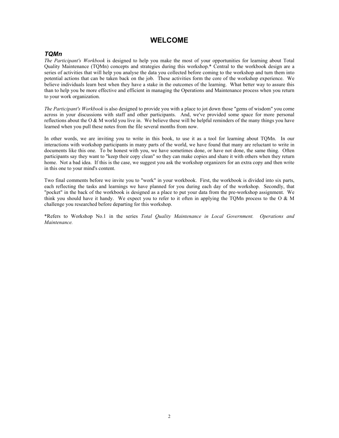#### **WELCOME**

#### *TQMn*

*The Participant's Workbook* is designed to help you make the most of your opportunities for learning about Total Quality Maintenance (TQMn) concepts and strategies during this workshop.\* Central to the workbook design are a series of activities that will help you analyse the data you collected before coming to the workshop and turn them into potential actions that can be taken back on the job. These activities form the core of the workshop experience. We believe individuals learn best when they have a stake in the outcomes of the learning. What better way to assure this than to help you be more effective and efficient in managing the Operations and Maintenance process when you return to your work organization.

*The Participant's Workbook* is also designed to provide you with a place to jot down those "gems of wisdom" you come across in your discussions with staff and other participants. And, we've provided some space for more personal reflections about the  $O & M$  world you live in. We believe these will be helpful reminders of the many things you have learned when you pull these notes from the file several months from now.

In other words, we are inviting you to write in this book, to use it as a tool for learning about TQMn. In our interactions with workshop participants in many parts of the world, we have found that many are reluctant to write in documents like this one. To be honest with you, we have sometimes done, or have not done, the same thing. Often participants say they want to "keep their copy clean" so they can make copies and share it with others when they return home. Not a bad idea. If this is the case, we suggest you ask the workshop organizers for an extra copy and then write in this one to your mind's content.

Two final comments before we invite you to "work" in your workbook. First, the workbook is divided into six parts, each reflecting the tasks and learnings we have planned for you during each day of the workshop. Secondly, that "pocket" in the back of the workbook is designed as a place to put your data from the pre-workshop assignment. We think you should have it handy. We expect you to refer to it often in applying the TQMn process to the O & M challenge you researched before departing for this workshop.

\*Refers to Workshop No.1 in the series *Total Quality Maintenance in Local Government. Operations and Maintenance.*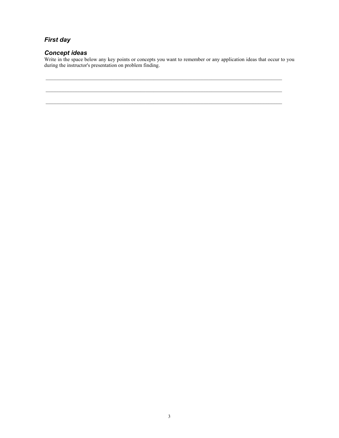#### *First day*

#### *Concept ideas*

Write in the space below any key points or concepts you want to remember or any application ideas that occur to you during the instructor's presentation on problem finding.

 $\mathcal{L}_\text{max}$ 

 $\mathcal{L}_\text{max}$ 

 $\_$  , and the state of the state of the state of the state of the state of the state of the state of the state of the state of the state of the state of the state of the state of the state of the state of the state of the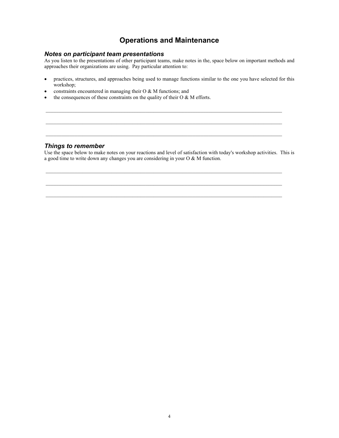#### **Operations and Maintenance**

#### *Notes on participant team presentations*

As you listen to the presentations of other participant teams, make notes in the, space below on important methods and approaches their organizations are using. Pay particular attention to:

• practices, structures, and approaches being used to manage functions similar to the one you have selected for this workshop;

 $\_$  , and the state of the state of the state of the state of the state of the state of the state of the state of the state of the state of the state of the state of the state of the state of the state of the state of the

- constraints encountered in managing their O & M functions; and
- the consequences of these constraints on the quality of their  $O & M$  efforts.

#### *Things to remember*

Use the space below to make notes on your reactions and level of satisfaction with today's workshop activities. This is a good time to write down any changes you are considering in your O & M function.

 $\mathcal{L}_\text{max}$ 

 $\_$  , and the state of the state of the state of the state of the state of the state of the state of the state of the state of the state of the state of the state of the state of the state of the state of the state of the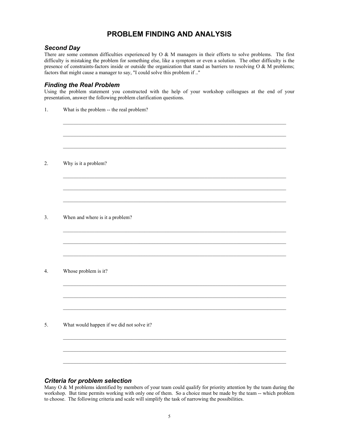#### **PROBLEM FINDING AND ANALYSIS**

#### *Second Day*

There are some common difficulties experienced by O & M managers in their efforts to solve problems. The first difficulty is mistaking the problem for something else, like a symptom or even a solution. The other difficulty is the presence of constraints-factors inside or outside the organization that stand as barriers to resolving O & M problems; factors that might cause a manager to say, "I could solve this problem if .."

#### *Finding the Real Problem*

Using the problem statement you constructed with the help of your workshop colleagues at the end of your presentation, answer the following problem clarification questions.

 $\mathcal{L}_\mathcal{L} = \mathcal{L}_\mathcal{L} = \mathcal{L}_\mathcal{L} = \mathcal{L}_\mathcal{L} = \mathcal{L}_\mathcal{L} = \mathcal{L}_\mathcal{L} = \mathcal{L}_\mathcal{L} = \mathcal{L}_\mathcal{L} = \mathcal{L}_\mathcal{L} = \mathcal{L}_\mathcal{L} = \mathcal{L}_\mathcal{L} = \mathcal{L}_\mathcal{L} = \mathcal{L}_\mathcal{L} = \mathcal{L}_\mathcal{L} = \mathcal{L}_\mathcal{L} = \mathcal{L}_\mathcal{L} = \mathcal{L}_\mathcal{L}$ 

 $\mathcal{L}_\mathcal{L} = \mathcal{L}_\mathcal{L} = \mathcal{L}_\mathcal{L} = \mathcal{L}_\mathcal{L} = \mathcal{L}_\mathcal{L} = \mathcal{L}_\mathcal{L} = \mathcal{L}_\mathcal{L} = \mathcal{L}_\mathcal{L} = \mathcal{L}_\mathcal{L} = \mathcal{L}_\mathcal{L} = \mathcal{L}_\mathcal{L} = \mathcal{L}_\mathcal{L} = \mathcal{L}_\mathcal{L} = \mathcal{L}_\mathcal{L} = \mathcal{L}_\mathcal{L} = \mathcal{L}_\mathcal{L} = \mathcal{L}_\mathcal{L}$ 

1. What is the problem -- the real problem?

2. Why is it a problem?

3. When and where is it a problem?

4. Whose problem is it?

5. What would happen if we did not solve it?

#### *Criteria for problem selection*

Many  $O & M$  problems identified by members of your team could qualify for priority attention by the team during the workshop. But time permits working with only one of them. So a choice must be made by the team -- which problem to choose. The following criteria and scale will simplify the task of narrowing the possibilities.

 $\mathcal{L}_\text{max}$ 

 $\mathcal{L}_\text{max}$ 

 $\mathcal{L}_\mathcal{L} = \mathcal{L}_\mathcal{L} = \mathcal{L}_\mathcal{L} = \mathcal{L}_\mathcal{L} = \mathcal{L}_\mathcal{L} = \mathcal{L}_\mathcal{L} = \mathcal{L}_\mathcal{L} = \mathcal{L}_\mathcal{L} = \mathcal{L}_\mathcal{L} = \mathcal{L}_\mathcal{L} = \mathcal{L}_\mathcal{L} = \mathcal{L}_\mathcal{L} = \mathcal{L}_\mathcal{L} = \mathcal{L}_\mathcal{L} = \mathcal{L}_\mathcal{L} = \mathcal{L}_\mathcal{L} = \mathcal{L}_\mathcal{L}$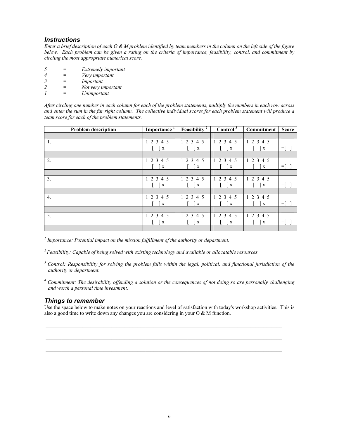#### *Instructions*

*Enter a brief description of each O & M problem identified by team members in the column on the left side of the figure below. Each problem can be given a rating on the criteria of importance, feasibility, control, and commitment by circling the most appropriate numerical score.*

| -5            | Extremely important |
|---------------|---------------------|
|               | Very important      |
| $\mathcal{Z}$ | Important           |
| $\mathcal{L}$ | Not very important  |
|               | Unimportant         |

*After circling one number in each column for each of the problem statements, multiply the numbers in each row across and enter the sum in the far right column. The collective individual scores for each problem statement will produce a team score for each of the problem statements.* 

| <b>Problem description</b> | Importance              | Feasibility $\overline{1}$ | Control <sup>3</sup>    | <b>Commitment</b> | <b>Score</b> |
|----------------------------|-------------------------|----------------------------|-------------------------|-------------------|--------------|
|                            |                         |                            |                         |                   |              |
| 1.                         | 1 2 3 4 5               | 1 2 3 4 5                  | 2 3 4 5                 | 1 2 3 4 5         |              |
|                            | $\mathbf{X}$            | $\mathbf{x}$               | $\mathbf X$             | $\mathbf{x}$      | $=$          |
|                            |                         |                            |                         |                   |              |
| 2.                         | 1 2 3 4 5               | 12<br>3<br>4 5             | 2 3 4 5<br>$\mathbf{1}$ | 1 2 3 4 5         |              |
|                            | $\vert x \vert$         | $\mathbf{x}$               | $\mathbf X$             | $\mathbf{x}$      | $=$          |
|                            |                         |                            |                         |                   |              |
| 3.                         | 1 2 3 4 5               | $1\ 2\ 3$<br>4 5           | 2 3 4 5                 | 1 2 3 4 5         |              |
|                            | $\mathbf{X}$            | $\mathbf{x}$               | $\mathbf x$             | $\mathbf{X}$      | $=$          |
|                            |                         |                            |                         |                   |              |
| $\overline{4}$ .           | 1 2 3 4 5               | $1\ 2\ 3$<br>4 5           | 2 3 4 5<br>$\mathbf{1}$ | 1 2 3 4 5         |              |
|                            | $\mathbf{I} \mathbf{x}$ | $\mathbf{X}$               | $\mathbf{x}$            | X                 | $=$          |
|                            |                         |                            |                         |                   |              |
| 5.                         | 1 2 3 4 5               | $1\,2\,3$<br>4 5           | 1 2 3 4 5               | 1 2 3 4 5         |              |
|                            | $\mathbf{X}$            | $\mathbf{X}$               | X                       | $\mathbf{X}$      | $=$          |
|                            |                         |                            |                         |                   |              |

*<sup>1</sup> Importance: Potential impact on the mission fulfillment of the authority or department.* 

*2 Feasibility: Capable of being solved with existing technology and available or allocatable resources.* 

- *3 Control: Responsibility for solving the problem falls within the legal, political, and functional jurisdiction of the authority or department.*
- *4 Commitment: The desirability offending a solution or the consequences of not doing so are personally challenging and worth a personal time investment.*

#### *Things to remember*

Use the space below to make notes on your reactions and level of satisfaction with today's workshop activities. This is also a good time to write down any changes you are considering in your O & M function.

 $\_$  , and the state of the state of the state of the state of the state of the state of the state of the state of the state of the state of the state of the state of the state of the state of the state of the state of the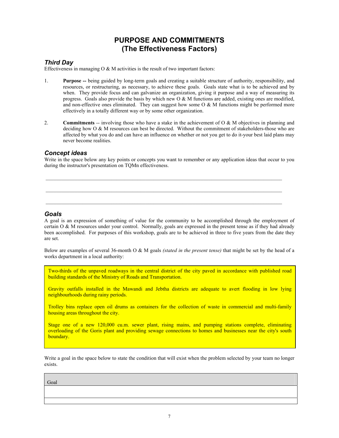#### **PURPOSE AND COMMITMENTS (The Effectiveness Factors)**

#### *Third Day*

Effectiveness in managing  $\overline{O} \& M$  activities is the result of two important factors:

- 1. **Purpose --** being guided by long-term goals and creating a suitable structure of authority, responsibility, and resources, or restructuring, as necessary, to achieve these goals. Goals state what is to be achieved and by when. They provide focus and can galvanize an organization, giving it purpose and a way of measuring its progress. Goals also provide the basis by which new  $\overline{O} \& M$  functions are added, existing ones are modified, and non-effective ones eliminated. They can suggest how some  $O & M$  functions might be performed more effectively in a totally different way or by some other organization.
- 2. **Commitments** -- involving those who have a stake in the achievement of O & M objectives in planning and deciding how O & M resources can best be directed. Without the commitment of stakeholders-those who are affected by what you do and can have an influence on whether or not you get to do it-your best laid plans may never become realities.

#### *Concept ideas*

Write in the space below any key points or concepts you want to remember or any application ideas that occur to you during the instructor's presentation on TQMn effectiveness.

 $\_$  , and the state of the state of the state of the state of the state of the state of the state of the state of the state of the state of the state of the state of the state of the state of the state of the state of the

#### *Goals*

I

A goal is an expression of something of value for the community to be accomplished through the employment of certain  $\overline{O} \& M$  resources under your control. Normally, goals are expressed in the present tense as if they had already been accomplished. For purposes of this workshop, goals are to be achieved in three to five years from the date they are set.

Below are examples of several 36-month O & M goals *(stated in the present tense)* that might be set by the head of a works department in a local authority:

Two-thirds of the unpaved roadways in the central district of the city paved in accordance with published road building standards of the Ministry of Roads and Transportation.

Gravity outfalls installed in the Mawandi and Jebtha districts are adequate to avert flooding in low lying neighbourhoods during rainy periods.

Trolley bins replace open oil drums as containers for the collection of waste in commercial and multi-family housing areas throughout the city.

Stage one of a new 120,000 cu.m. sewer plant, rising mains, and pumping stations complete, eliminating overloading of the Goris plant and providing sewage connections to homes and businesses near the city's south boundary.

Write a goal in the space below to state the condition that will exist when the problem selected by your team no longer exists.

Goal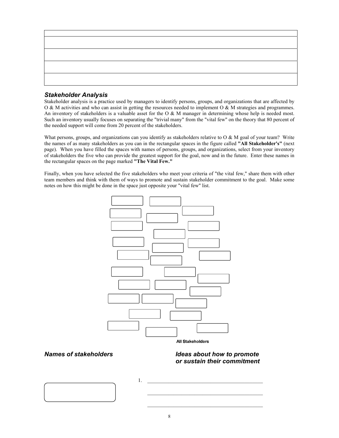

#### *Stakeholder Analysis*

Stakeholder analysis is a practice used by managers to identify persons, groups, and organizations that are affected by O & M activities and who can assist in getting the resources needed to implement O & M strategies and programmes. An inventory of stakeholders is a valuable asset for the O  $\&$  M manager in determining whose help is needed most. Such an inventory usually focuses on separating the "trivial many" from the "vital few" on the theory that 80 percent of the needed support will come from 20 percent of the stakeholders.

What persons, groups, and organizations can you identify as stakeholders relative to  $O & M$  goal of your team? Write the names of as many stakeholders as you can in the rectangular spaces in the figure called **"All Stakeholder's"** (next page). When you have filled the spaces with names of persons, groups, and organizations, select from your inventory of stakeholders the five who can provide the greatest support for the goal, now and in the future. Enter these names in the rectangular spaces on the page marked **"The Vital Few."**

Finally, when you have selected the five stakeholders who meet your criteria of "the vital few," share them with other team members and think with them of ways to promote and sustain stakeholder commitment to the goal. Make some notes on how this might be done in the space just opposite your "vital few" list.



**All Stakeholders** 

*Names of stakeholders* **IDEAL** *Ideas about how to promote or sustain their commitment* 



 $1.$ \_\_\_\_\_\_\_\_\_\_\_\_\_\_\_\_\_\_\_\_\_\_\_\_\_\_\_\_\_\_\_\_\_\_\_\_\_\_\_\_\_\_\_\_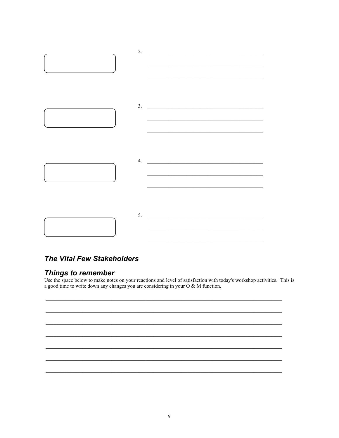

#### **The Vital Few Stakeholders**

#### **Things to remember**

Use the space below to make notes on your reactions and level of satisfaction with today's workshop activities. This is a good time to write down any changes you are considering in your  $O & M$  function.

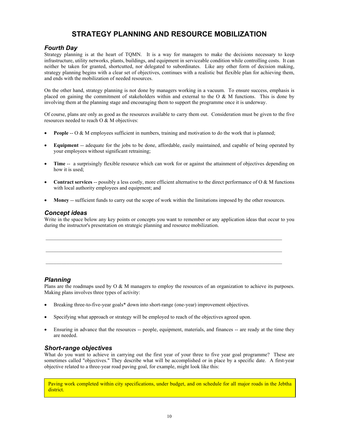#### **STRATEGY PLANNING AND RESOURCE MOBILIZATION**

#### *Fourth Day*

Strategy planning is at the heart of TQMN. It is a way for managers to make the decisions necessary to keep infrastructure, utility networks, plants, buildings, and equipment in serviceable condition while controlling costs. It can neither be taken for granted, shortcutted, nor delegated to subordinates. Like any other form of decision making, strategy planning begins with a clear set of objectives, continues with a realistic but flexible plan for achieving them, and ends with the mobilization of needed resources.

On the other hand, strategy planning is not done by managers working in a vacuum. To ensure success, emphasis is placed on gaining the commitment of stakeholders within and external to the O  $\&$  M functions. This is done by involving them at the planning stage and encouraging them to support the programme once it is underway.

Of course, plans are only as good as the resources available to carry them out. Consideration must be given to the five resources needed to reach O & M objectives:

- **People** -- O & M employees sufficient in numbers, training and motivation to do the work that is planned;
- **Equipment** -- adequate for the jobs to be done, affordable, easily maintained, and capable of being operated by your employees without significant retraining;
- **Time** -- a surprisingly flexible resource which can work for or against the attainment of objectives depending on how it is used;
- **Contract services** -- possibly a less costly, more efficient alternative to the direct performance of O & M functions with local authority employees and equipment; and
- **Money** -- sufficient funds to carry out the scope of work within the limitations imposed by the other resources.

 $\mathcal{L}_\text{max}$ 

 $\mathcal{L}_\text{max}$ 

 $\_$  , and the state of the state of the state of the state of the state of the state of the state of the state of the state of the state of the state of the state of the state of the state of the state of the state of the

#### *Concept ideas*

Write in the space below any key points or concepts you want to remember or any application ideas that occur to you during the instructor's presentation on strategic planning and resource mobilization.

#### *Planning*

Plans are the roadmaps used by O & M managers to employ the resources of an organization to achieve its purposes. Making plans involves three types of activity:

- Breaking three-to-five-year goals\* down into short-range (one-year) improvement objectives.
- Specifying what approach or strategy will be employed to reach of the objectives agreed upon.
- Ensuring in advance that the resources -- people, equipment, materials, and finances -- are ready at the time they are needed.

#### *Short-range objectives*

What do you want to achieve in carrying out the first year of your three to five year goal programme? These are sometimes called "objectives." They describe what will be accomplished or in place by a specific date. A first-year objective related to a three-year road paving goal, for example, might look like this:

Paving work completed within city specifications, under budget, and on schedule for all major roads in the Jebtha district.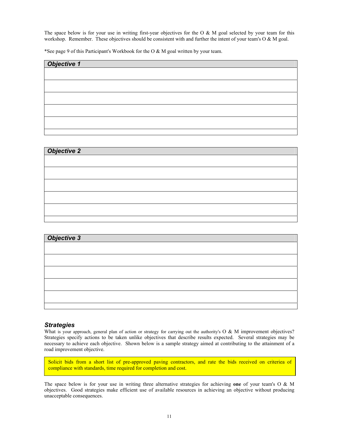The space below is for your use in writing first-year objectives for the O  $\&$  M goal selected by your team for this workshop. Remember. These objectives should be consistent with and further the intent of your team's O & M goal.

\*See page 9 of this Participant's Workbook for the O & M goal written by your team.

# *Objective 1*

| <b>Objective 2</b> |  |  |
|--------------------|--|--|
|                    |  |  |
|                    |  |  |
|                    |  |  |
|                    |  |  |
|                    |  |  |
|                    |  |  |
|                    |  |  |

| <b>Objective 3</b> |  |  |
|--------------------|--|--|
|                    |  |  |
|                    |  |  |
|                    |  |  |
|                    |  |  |
|                    |  |  |
|                    |  |  |
|                    |  |  |
|                    |  |  |

#### *Strategies*

What is your approach, general plan of action or strategy for carrying out the authority's  $O & M$  improvement objectives? Strategies specify actions to be taken unlike objectives that describe results expected. Several strategies may be necessary to achieve each objective. Shown below is a sample strategy aimed at contributing to the attainment of a road improvement objective.

Solicit bids from a short list of pre-approved paving contractors, and rate the bids received on criteriea of compliance with standards, time required for completion and cost.

The space below is for your use in writing three alternative strategies for achieving **one** of your team's O & M objectives. Good strategies make efficient use of available resources in achieving an objective without producing unacceptable consequences.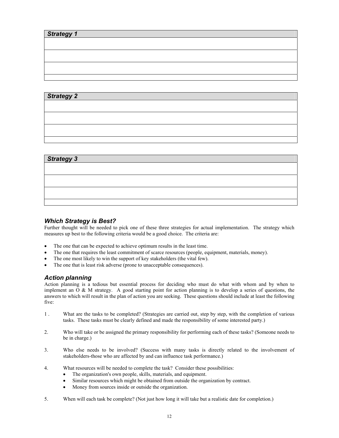| <b>Strategy 1</b> |  |  |
|-------------------|--|--|
|                   |  |  |
|                   |  |  |
|                   |  |  |
|                   |  |  |
|                   |  |  |

#### *Strategy 2*

| <b>Strategy 3</b> |  |  |  |
|-------------------|--|--|--|
|                   |  |  |  |
|                   |  |  |  |
|                   |  |  |  |
|                   |  |  |  |
|                   |  |  |  |

#### *Which Strategy is Best?*

Further thought will be needed to pick one of these three strategies for actual implementation. The strategy which measures up best to the following criteria would be a good choice. The criteria are:

- The one that can be expected to achieve optimum results in the least time.
- The one that requires the least commitment of scarce resources (people, equipment, materials, money).
- The one most likely to win the support of key stakeholders (the vital few).
- The one that is least risk adverse (prone to unacceptable consequences).

#### *Action planning*

Action planning is a tedious but essential process for deciding who must do what with whom and by when to implement an  $\overline{O}$  & M strategy. A good starting point for action planning is to develop a series of questions, the answers to which will result in the plan of action you are seeking. These questions should include at least the following five:

- 1 . What are the tasks to be completed? (Strategies are carried out, step by step, with the completion of various tasks. These tasks must be clearly defined and made the responsibility of some interested party.)
- 2. Who will take or be assigned the primary responsibility for performing each of these tasks? (Someone needs to be in charge.)
- 3. Who else needs to be involved? (Success with many tasks is directly related to the involvement of stakeholders-those who are affected by and can influence task performance.)
- 4. What resources will be needed to complete the task? Consider these possibilities:
	- The organization's own people, skills, materials, and equipment.
	- Similar resources which might be obtained from outside the organization by contract.
	- Money from sources inside or outside the organization.
- 5. When will each task be complete? (Not just how long it will take but a realistic date for completion.)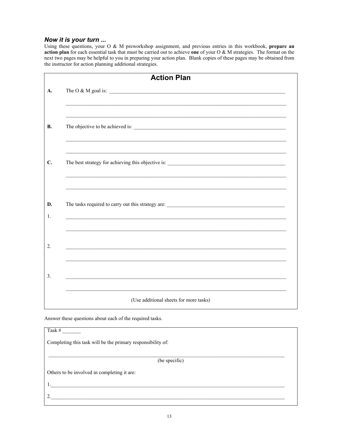#### *Now it is your turn ...*

Using these questions, your O & M preworkshop assignment, and previous entries in this workbook, **prepare an action plan** for each essential task that must be carried out to achieve **one** of your O & M strategies. The format on the next two pages may be helpful to you in preparing your action plan. Blank copies of these pages may be obtained from the instructor for action planning additional strategies.

| <b>Action Plan</b>                                                                         |
|--------------------------------------------------------------------------------------------|
| The O & M goal is: $\sqrt{\frac{2}{1-\frac{1}{2}} \left(\frac{1}{2}-\frac{1}{2}\right)^2}$ |
|                                                                                            |
|                                                                                            |
|                                                                                            |
|                                                                                            |
|                                                                                            |
|                                                                                            |

Answer these questions about each of the required tasks.

Task  $#$ 

Completing this task will be the primary responsibility of:

(be specific)

1.\_\_\_\_\_\_\_\_\_\_\_\_\_\_\_\_\_\_\_\_\_\_\_\_\_\_\_\_\_\_\_\_\_\_\_\_\_\_\_\_\_\_\_\_\_\_\_\_\_\_\_\_\_\_\_\_\_\_\_\_\_\_\_\_\_\_\_\_\_\_\_\_\_\_\_\_\_\_\_\_\_\_\_\_\_\_\_\_\_

 $2.$ 

Others to be involved in completing it are: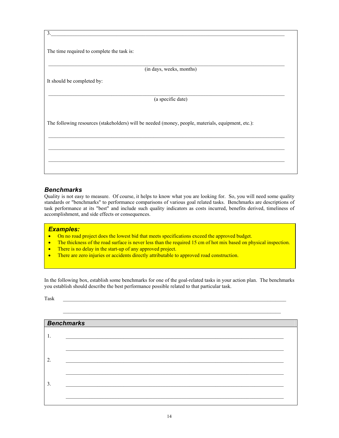| $\overline{3}$ .                                                                                   |
|----------------------------------------------------------------------------------------------------|
|                                                                                                    |
| The time required to complete the task is:                                                         |
|                                                                                                    |
|                                                                                                    |
| (in days, weeks, months)                                                                           |
| It should be completed by:                                                                         |
|                                                                                                    |
| (a specific date)                                                                                  |
|                                                                                                    |
|                                                                                                    |
| The following resources (stakeholders) will be needed (money, people, materials, equipment, etc.): |
|                                                                                                    |
|                                                                                                    |
|                                                                                                    |
|                                                                                                    |
|                                                                                                    |
|                                                                                                    |

#### *Benchmarks*

Quality is not easy to measure. Of course, it helps to know what you are looking for. So, you will need some quality standards or "benchmarks" to performance comparisons of various goal related tasks. Benchmarks are descriptions of task performance at its "best" and include such quality indicators as costs incurred, benefits derived, timeliness of accomplishment, and side effects or consequences.

#### *Examples:*

- On no road project does the lowest bid that meets specifications exceed the approved budget.
- The thickness of the road surface is never less than the required 15 cm of hot mix based on physical inspection.
- There is no delay in the start-up of any approved project.
- There are zero injuries or accidents directly attributable to approved road construction.

In the following box, establish some benchmarks for one of the goal-related tasks in your action plan. The benchmarks you establish should describe the best performance possible related to that particular task.

 $\text{Task}$ 

| <b>Benchmarks</b> |  |
|-------------------|--|
| -1.               |  |
|                   |  |
| 2.                |  |
|                   |  |
|                   |  |
| 3.                |  |
|                   |  |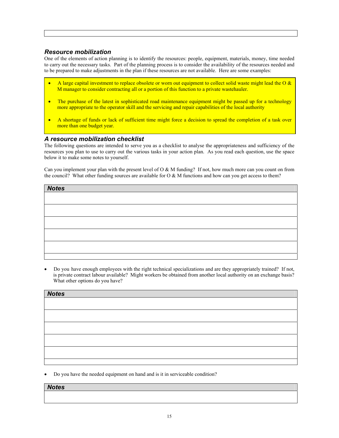#### *Resource mobilization*

One of the elements of action planning is to identify the resources: people, equipment, materials, money, time needed to carry out the necessary tasks. Part of the planning process is to consider the availability of the resources needed and to be prepared to make adjustments in the plan if these resources are not available. Here are some examples:

- A large capital investment to replace obsolete or worn out equipment to collect solid waste might lead the O  $\&$ M manager to consider contracting all or a portion of this function to a private wastehauler.
- The purchase of the latest in sophisticated road maintenance equipment might be passed up for a technology more appropriate to the operator skill and the servicing and repair capabilities of the local authority
- A shortage of funds or lack of sufficient time might force a decision to spread the completion of a task over more than one budget year.

#### *A resource mobilization checklist*

The following questions are intended to serve you as a checklist to analyse the appropriateness and sufficiency of the resources you plan to use to carry out the various tasks in your action plan. As you read each question, use the space below it to make some notes to yourself.

Can you implement your plan with the present level of  $O & M$  funding? If not, how much more can you count on from the council? What other funding sources are available for  $O & M$  functions and how can you get access to them?

| <b>Notes</b> |  |  |
|--------------|--|--|
|              |  |  |
|              |  |  |
|              |  |  |
|              |  |  |
|              |  |  |
|              |  |  |
|              |  |  |

• Do you have enough employees with the right technical specializations and are they appropriately trained? If not, is private contract labour available? Might workers be obtained from another local authority on an exchange basis? What other options do you have?

| <b>Notes</b> |  |  |
|--------------|--|--|
|              |  |  |
|              |  |  |
|              |  |  |
|              |  |  |
|              |  |  |
|              |  |  |
|              |  |  |
|              |  |  |

• Do you have the needed equipment on hand and is it in serviceable condition?

#### *Notes*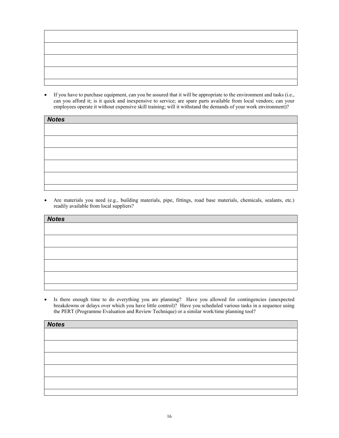

• If you have to purchase equipment, can you be assured that it will be appropriate to the environment and tasks (i.e., can you afford it; is it quick and inexpensive to service; are spare parts available from local vendors; can your employees operate it without expensive skill training; will it withstand the demands of your work environment)?

| <b>Notes</b> |  |  |  |
|--------------|--|--|--|
|              |  |  |  |
|              |  |  |  |
|              |  |  |  |
|              |  |  |  |
|              |  |  |  |
|              |  |  |  |

• Are materials you need (e.g., building materials, pipe, fittings, road base materials, chemicals, sealants, etc.) readily available from local suppliers?

| <b>Notes</b> |  |  |  |
|--------------|--|--|--|
|              |  |  |  |
|              |  |  |  |
|              |  |  |  |
|              |  |  |  |
|              |  |  |  |
|              |  |  |  |
|              |  |  |  |
|              |  |  |  |
|              |  |  |  |
|              |  |  |  |

• Is there enough time to do everything you are planning? Have you allowed for contingencies (unexpected breakdowns or delays over which you have little control)? Have you scheduled various tasks in a sequence using the PERT (Programme Evaluation and Review Technique) or a similar work/time planning tool?

| <b>Notes</b> |  |  |
|--------------|--|--|
|              |  |  |
|              |  |  |
|              |  |  |
|              |  |  |
|              |  |  |
|              |  |  |
|              |  |  |
|              |  |  |
|              |  |  |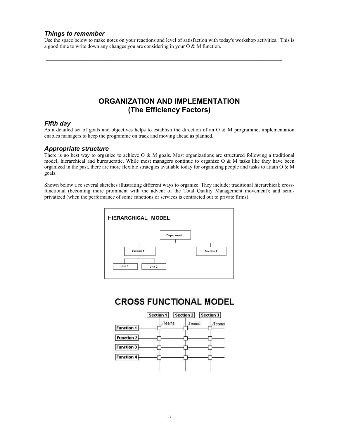#### *Things to remember*

Use the space below to make notes on your reactions and level of satisfaction with today's workshop activities. This is a good time to write down any changes you are considering in your O & M function.

 $\mathcal{L}_\text{max}$ 

 $\_$  , and the state of the state of the state of the state of the state of the state of the state of the state of the state of the state of the state of the state of the state of the state of the state of the state of the

 $\_$  , and the state of the state of the state of the state of the state of the state of the state of the state of the state of the state of the state of the state of the state of the state of the state of the state of the

#### **ORGANIZATION AND IMPLEMENTATION (The Efficiency Factors)**

#### *Fifth day*

As a detailed set of goals and objectives helps to establish the direction of an O  $\&$  M programme, implementation enables managers to keep the programme on track and moving ahead as planned.

#### *Appropriate structure*

There is no best way to organize to achieve O  $\&$  M goals. Most organizations are structured following a traditional model, hierarchical and bureaucratic. While most managers continue to organize O  $\&$  M tasks like they have been organized in the past, there are more flexible strategies available today for organizing people and tasks to attain O & M goals.

Shown below a re several sketches illustrating different ways to organize. They include: traditional hierarchical; crossfunctional (becoming more prominent with the advent of the Total Quality Management movement); and semiprivatized (when the performance of some functions or services is contracted out to private firms).



#### **CROSS FUNCTIONAL MODEL**

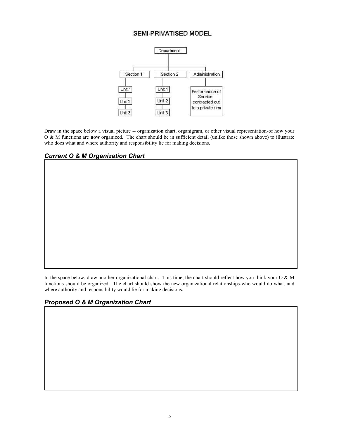#### SEMI-PRIVATISED MODEL



Draw in the space below a visual picture -- organization chart, organigram, or other visual representation-of how your O & M functions are **now** organized. The chart should be in sufficient detail (unlike those shown above) to illustrate who does what and where authority and responsibility lie for making decisions.

*Current O & M Organization Chart* 

In the space below, draw another organizational chart. This time, the chart should reflect how you think your O  $\&$  M functions should be organized. The chart should show the new organizational relationships-who would do what, and where authority and responsibility would lie for making decisions.

#### *Proposed O & M Organization Chart*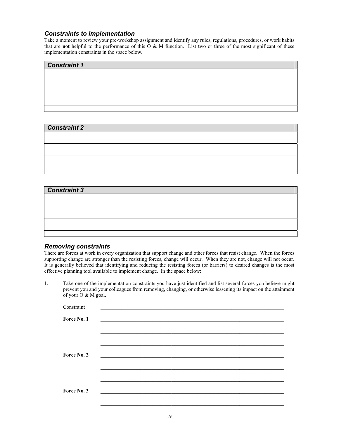#### *Constraints to implementation*

Take a moment to review your pre-workshop assignment and identify any rules, regulations, procedures, or work habits that are **not** helpful to the performance of this  $\overrightarrow{O}$  & M function. List two or three of the most significant of these implementation constraints in the space below.

# *Constraint 1*

#### *Constraint 2*

| Constraint 2 |  |  |
|--------------|--|--|
|              |  |  |
|              |  |  |
|              |  |  |
|              |  |  |
|              |  |  |
|              |  |  |
|              |  |  |
|              |  |  |

| <b>Constraint 3</b> |  |  |  |
|---------------------|--|--|--|
|                     |  |  |  |
|                     |  |  |  |
|                     |  |  |  |
|                     |  |  |  |
|                     |  |  |  |

#### *Removing constraints*

There are forces at work in every organization that support change and other forces that resist change. When the forces supporting change are stronger than the resisting forces, change will occur. When they are not, change will not occur. It is generally believed that identifying and reducing the resisting forces (or barriers) to desired changes is the most effective planning tool available to implement change. In the space below:

1. Take one of the implementation constraints you have just identified and list several forces you believe might prevent you and your colleagues from removing, changing, or otherwise lessening its impact on the attainment of your O & M goal.

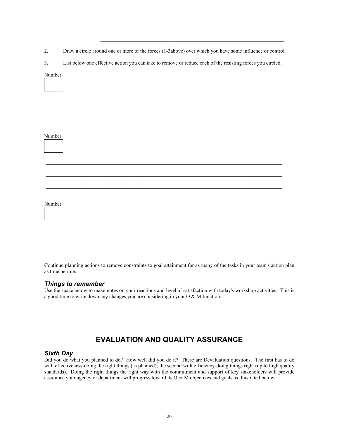2. Draw a circle around one or more of the forces (1-3above) over which you have some influence or control.

\_\_\_\_\_\_\_\_\_\_\_\_\_\_\_\_\_\_\_\_\_\_\_\_\_\_\_\_\_\_\_\_\_\_\_\_\_\_\_\_\_\_\_\_\_\_\_\_\_\_\_\_\_\_\_\_\_\_\_\_\_\_\_\_\_\_\_\_\_\_

3. List below one effective action you can take to remove or reduce each of the resisting forces you circled.

## $\mathcal{L}_\text{max}$  $\mathcal{L}_\text{max}$  $\_$  , and the state of the state of the state of the state of the state of the state of the state of the state of the state of the state of the state of the state of the state of the state of the state of the state of the Number  $\mathcal{L}_\text{max}$ Number  $\mathcal{L}_\text{max}$  $\_$  , and the state of the state of the state of the state of the state of the state of the state of the state of the state of the state of the state of the state of the state of the state of the state of the state of the

Continue planning actions to remove constraints to goal attainment for as many of the tasks in your team's action plan as time permits.

#### *Things to remember*

Use the space below to make notes on your reactions and level of satisfaction with today's workshop activities. This is a good time to write down any changes you are considering in your O & M function.

 $\mathcal{L}_\text{max}$ 

 $\_$  , and the state of the state of the state of the state of the state of the state of the state of the state of the state of the state of the state of the state of the state of the state of the state of the state of the

#### **EVALUATION AND QUALITY ASSURANCE**

#### *Sixth Day*

Number

Did you do what you planned to do? How well did you do it? These are Devaluation questions. The first has to do with effectiveness-doing the right things (as planned); the second with efficiency-doing things right (up to high quality standards). Doing the right things the right way with the commitment and support of key stakeholders will provide assurance your agency or department will progress toward its O & M objectives and goals as illustrated below.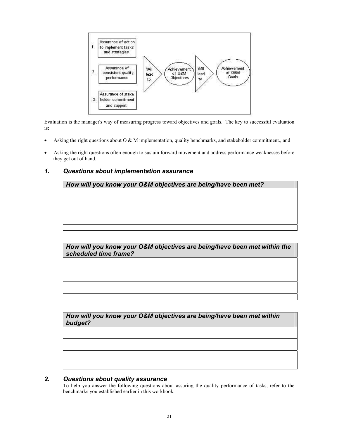

Evaluation is the manager's way of measuring progress toward objectives and goals. The key to successful evaluation is:

- Asking the right questions about  $O & M$  implementation, quality benchmarks, and stakeholder commitment., and
- Asking the right questions often enough to sustain forward movement and address performance weaknesses before they get out of hand.

#### *1. Questions about implementation assurance*

*How will you know your O&M objectives are being/have been met?* 

*How will you know your O&M objectives are being/have been met within the scheduled time frame?* 

*How will you know your O&M objectives are being/have been met within budget?* 

#### *2. Questions about quality assurance*

To help you answer the following questions about assuring the quality performance of tasks, refer to the benchmarks you established earlier in this workbook.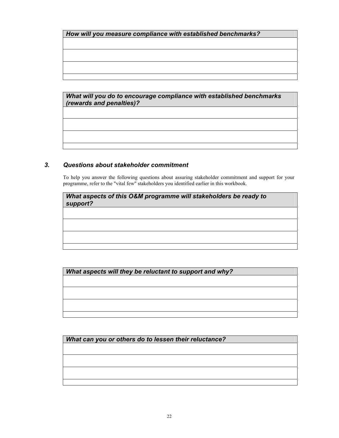*How will you measure compliance with established benchmarks?* 

*What will you do to encourage compliance with established benchmarks (rewards and penalties)?* 

#### *3. Questions about stakeholder commitment*

To help you answer the following questions about assuring stakeholder commitment and support for your programme, refer to the "vital few" stakeholders you identified earlier in this workbook.

*What aspects of this O&M programme will stakeholders be ready to support?* 

*What aspects will they be reluctant to support and why?* 

*What can you or others do to lessen their reluctance?*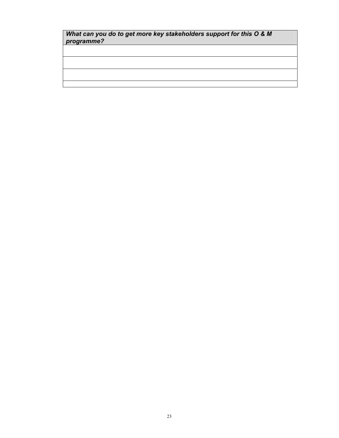#### *What can you do to get more key stakeholders support for this O & M programme?*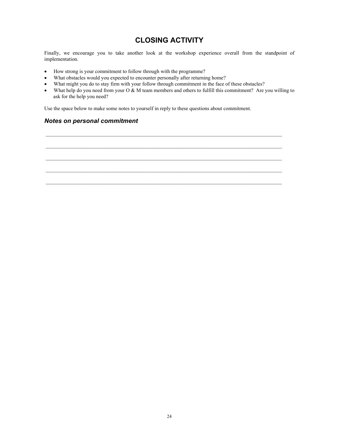#### **CLOSING ACTIVITY**

Finally, we encourage you to take another look at the workshop experience overall from the standpoint of implementation.

- How strong is your commitment to follow through with the programme?
- What obstacles would you expected to encounter personally after returning home?
- What might you do to stay firm with your follow through commitment in the face of these obstacles?
- What help do you need from your O & M team members and others to fulfill this commitment? Are you willing to ask for the help you need?

 $\_$  , and the state of the state of the state of the state of the state of the state of the state of the state of the state of the state of the state of the state of the state of the state of the state of the state of the

Use the space below to make some notes to yourself in reply to these questions about commitment.

#### *Notes on personal commitment*

24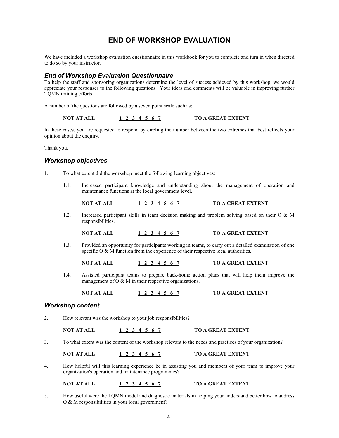#### **END OF WORKSHOP EVALUATION**

We have included a workshop evaluation questionnaire in this workbook for you to complete and turn in when directed to do so by your instructor.

#### *End of Workshop Evaluation Questionnaire*

To help the staff and sponsoring organizations determine the level of success achieved by this workshop, we would appreciate your responses to the following questions. Your ideas and comments will be valuable in improving further TQMN training efforts.

A number of the questions are followed by a seven point scale such as:

**NOT AT ALL 1 2 3 4 5 6 7 TO A GREAT EXTENT** 

In these cases, you are requested to respond by circling the number between the two extremes that best reflects your opinion about the enquiry.

Thank you.

#### *Workshop objectives*

- 1. To what extent did the workshop meet the following learning objectives:
	- 1.1. Increased participant knowledge and understanding about the management of operation and maintenance functions at the local government level.

**NOT AT ALL 1 2 3 4 5 6 7 TO A GREAT EXTENT**

- 1.2. Increased participant skills in team decision making and problem solving based on their O & M responsibilities.
	- **NOT AT ALL 1 2 3 4 5 6 7 TO A GREAT EXTENT**
- 1.3. Provided an opportunity for participants working in teams, to carry out a detailed examination of one specific O & M function from the experience of their respective local authorities.

**NOT AT ALL 1 2 3 4 5 6 7 TO A GREAT EXTENT**

1.4. Assisted participant teams to prepare back-home action plans that will help them improve the management of O & M in their respective organizations.

**NOT AT ALL 1 2 3 4 5 6 7 TO A GREAT EXTENT**

#### *Workshop content*

2. How relevant was the workshop to your job responsibilities?

**NOT AT ALL 1 2 3 4 5 6 7 TO A GREAT EXTENT**

3. To what extent was the content of the workshop relevant to the needs and practices of your organization?

**NOT AT ALL 1 2 3 4 5 6 7 TO A GREAT EXTENT**

4. How helpful will this learning experience be in assisting you and members of your team to improve your organization's operation and maintenance programmes?

**NOT AT ALL 1 2 3 4 5 6 7 TO A GREAT EXTENT**

5. How useful were the TQMN model and diagnostic materials in helping your understand better how to address O & M responsibilities in your local government?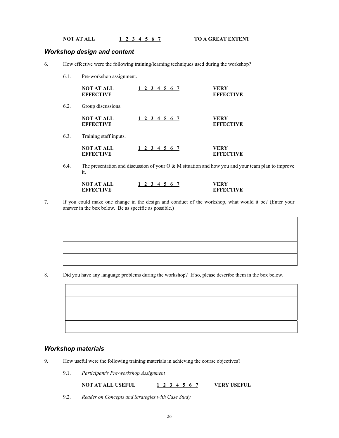**NOT AT ALL 1 2 3 4 5 6 7 TO A GREAT EXTENT** 

#### *Workshop design and content*

- 6. How effective were the following training/learning techniques used during the workshop?
	- 6.1. Pre-workshop assignment.

|      | <b>NOT AT ALL</b><br><b>EFFECTIVE</b> | 1 2 3 4 5 6 7 | VERY<br><b>EFFECTIVE</b> |
|------|---------------------------------------|---------------|--------------------------|
| 6.2. | Group discussions.                    |               |                          |
|      | <b>NOT AT ALL</b><br><b>EFFECTIVE</b> | 1 2 3 4 5 6 7 | VERY<br><b>EFFECTIVE</b> |
| 6.3. | Training staff inputs.                |               |                          |
|      | <b>NOT AT ALL</b><br><b>EFFECTIVE</b> | 1 2 3 4 5 6 7 | VERY<br><b>EFFECTIVE</b> |

6.4. The presentation and discussion of your O & M situation and how you and your team plan to improve it.

| <b>NOT AT ALL</b> |  |  | 1 2 3 4 5 6 7 | VERY             |
|-------------------|--|--|---------------|------------------|
| <b>EFFECTIVE</b>  |  |  |               | <b>EFFECTIVE</b> |

7. If you could make one change in the design and conduct of the workshop, what would it be? (Enter your answer in the box below. Be as specific as possible.)

8. Did you have any language problems during the workshop? If so, please describe them in the box below.

#### *Workshop materials*

- 9. How useful were the following training materials in achieving the course objectives?
	- 9.1. *Participant's Pre-workshop Assignment*

**NOT AT ALL USEFUL 1 2 3 4 5 6 7 VERY USEFUL**

- 
- 9.2. *Reader on Concepts and Strategies with Case Study*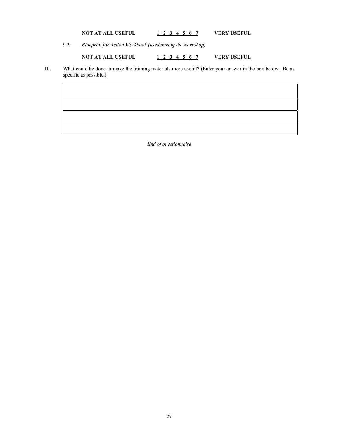#### **NOT AT ALL USEFUL 1 2 3 4 5 6 7 VERY USEFUL**

9.3. *Blueprint for Action Workbook (used during the workshop)*

**NOT AT ALL USEFUL 1 2 3 4 5 6 7 VERY USEFUL** 

10. What could be done to make the training materials more useful? (Enter your answer in the box below. Be as specific as possible.)

*End of questionnaire*